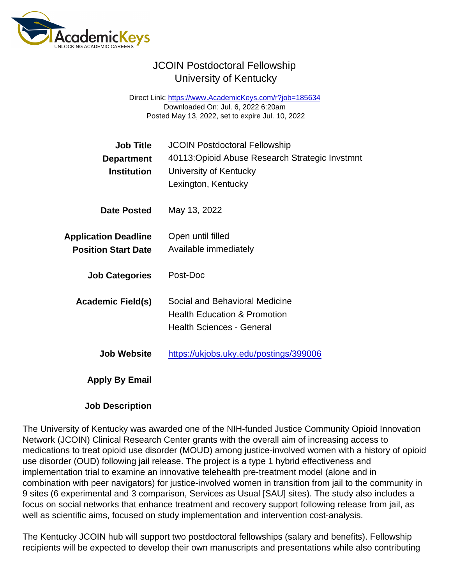## JCOIN Postdoctoral Fellowship University of Kentucky

Direct Link: <https://www.AcademicKeys.com/r?job=185634> Downloaded On: Jul. 6, 2022 6:20am Posted May 13, 2022, set to expire Jul. 10, 2022

| Job Title<br>Department<br>Institution                    | <b>JCOIN Postdoctoral Fellowship</b><br>40113: Opioid Abuse Research Strategic Invstmnt<br>University of Kentucky<br>Lexington, Kentucky |
|-----------------------------------------------------------|------------------------------------------------------------------------------------------------------------------------------------------|
| Date Posted                                               | May 13, 2022                                                                                                                             |
| <b>Application Deadline</b><br><b>Position Start Date</b> | Open until filled<br>Available immediately                                                                                               |
| <b>Job Categories</b>                                     | Post-Doc                                                                                                                                 |
| Academic Field(s)                                         | Social and Behavioral Medicine<br><b>Health Education &amp; Promotion</b><br><b>Health Sciences - General</b>                            |
| Job Website                                               | https://ukjobs.uky.edu/postings/399006                                                                                                   |
| Apply By Email                                            |                                                                                                                                          |
|                                                           |                                                                                                                                          |

Job Description

The University of Kentucky was awarded one of the NIH-funded Justice Community Opioid Innovation Network (JCOIN) Clinical Research Center grants with the overall aim of increasing access to medications to treat opioid use disorder (MOUD) among justice-involved women with a history of opioid use disorder (OUD) following jail release. The project is a type 1 hybrid effectiveness and implementation trial to examine an innovative telehealth pre-treatment model (alone and in combination with peer navigators) for justice-involved women in transition from jail to the community in 9 sites (6 experimental and 3 comparison, Services as Usual [SAU] sites). The study also includes a focus on social networks that enhance treatment and recovery support following release from jail, as well as scientific aims, focused on study implementation and intervention cost-analysis.

The Kentucky JCOIN hub will support two postdoctoral fellowships (salary and benefits). Fellowship recipients will be expected to develop their own manuscripts and presentations while also contributing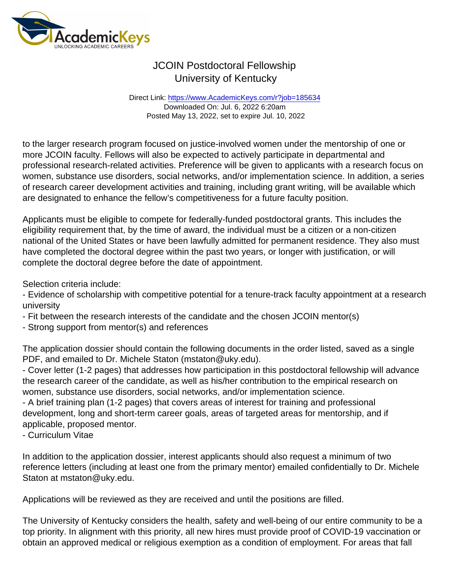## JCOIN Postdoctoral Fellowship University of Kentucky

Direct Link: <https://www.AcademicKeys.com/r?job=185634> Downloaded On: Jul. 6, 2022 6:20am Posted May 13, 2022, set to expire Jul. 10, 2022

to the larger research program focused on justice-involved women under the mentorship of one or more JCOIN faculty. Fellows will also be expected to actively participate in departmental and professional research-related activities. Preference will be given to applicants with a research focus on women, substance use disorders, social networks, and/or implementation science. In addition, a series of research career development activities and training, including grant writing, will be available which are designated to enhance the fellow's competitiveness for a future faculty position.

Applicants must be eligible to compete for federally-funded postdoctoral grants. This includes the eligibility requirement that, by the time of award, the individual must be a citizen or a non-citizen national of the United States or have been lawfully admitted for permanent residence. They also must have completed the doctoral degree within the past two years, or longer with justification, or will complete the doctoral degree before the date of appointment.

Selection criteria include:

- Evidence of scholarship with competitive potential for a tenure-track faculty appointment at a research university

- Fit between the research interests of the candidate and the chosen JCOIN mentor(s)
- Strong support from mentor(s) and references

The application dossier should contain the following documents in the order listed, saved as a single PDF, and emailed to Dr. Michele Staton (mstaton@uky.edu).

- Cover letter (1-2 pages) that addresses how participation in this postdoctoral fellowship will advance the research career of the candidate, as well as his/her contribution to the empirical research on women, substance use disorders, social networks, and/or implementation science.

- A brief training plan (1-2 pages) that covers areas of interest for training and professional development, long and short-term career goals, areas of targeted areas for mentorship, and if applicable, proposed mentor.

- Curriculum Vitae

In addition to the application dossier, interest applicants should also request a minimum of two reference letters (including at least one from the primary mentor) emailed confidentially to Dr. Michele Staton at mstaton@uky.edu.

Applications will be reviewed as they are received and until the positions are filled.

The University of Kentucky considers the health, safety and well-being of our entire community to be a top priority. In alignment with this priority, all new hires must provide proof of COVID-19 vaccination or obtain an approved medical or religious exemption as a condition of employment. For areas that fall